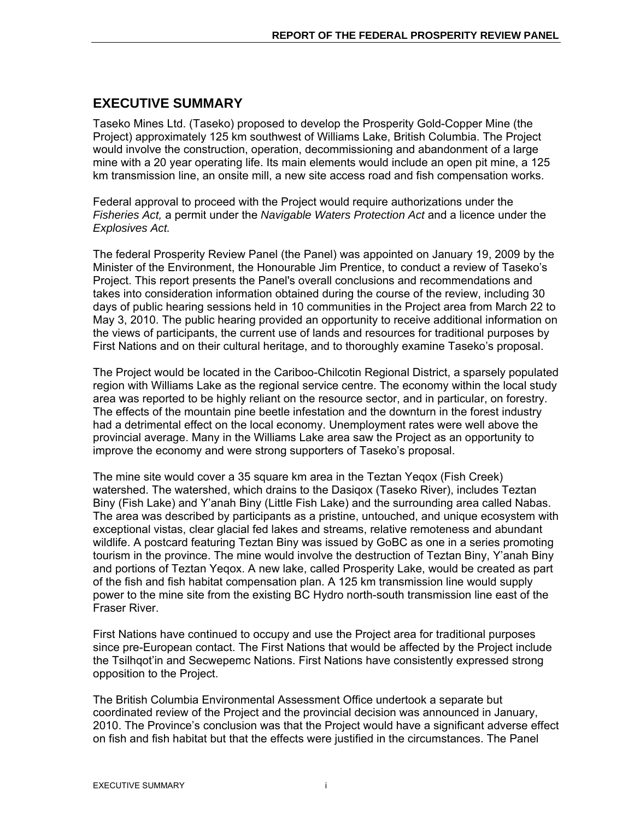# **EXECUTIVE SUMMARY**

Taseko Mines Ltd. (Taseko) proposed to develop the Prosperity Gold-Copper Mine (the Project) approximately 125 km southwest of Williams Lake, British Columbia. The Project would involve the construction, operation, decommissioning and abandonment of a large mine with a 20 year operating life. Its main elements would include an open pit mine, a 125 km transmission line, an onsite mill, a new site access road and fish compensation works.

Federal approval to proceed with the Project would require authorizations under the *Fisheries Act,* a permit under the *Navigable Waters Protection Act* and a licence under the *Explosives Act.* 

The federal Prosperity Review Panel (the Panel) was appointed on January 19, 2009 by the Minister of the Environment, the Honourable Jim Prentice, to conduct a review of Taseko's Project. This report presents the Panel's overall conclusions and recommendations and takes into consideration information obtained during the course of the review, including 30 days of public hearing sessions held in 10 communities in the Project area from March 22 to May 3, 2010. The public hearing provided an opportunity to receive additional information on the views of participants, the current use of lands and resources for traditional purposes by First Nations and on their cultural heritage, and to thoroughly examine Taseko's proposal.

The Project would be located in the Cariboo-Chilcotin Regional District, a sparsely populated region with Williams Lake as the regional service centre. The economy within the local study area was reported to be highly reliant on the resource sector, and in particular, on forestry. The effects of the mountain pine beetle infestation and the downturn in the forest industry had a detrimental effect on the local economy. Unemployment rates were well above the provincial average. Many in the Williams Lake area saw the Project as an opportunity to improve the economy and were strong supporters of Taseko's proposal.

The mine site would cover a 35 square km area in the Teztan Yeqox (Fish Creek) watershed. The watershed, which drains to the Dasiqox (Taseko River), includes Teztan Biny (Fish Lake) and Y'anah Biny (Little Fish Lake) and the surrounding area called Nabas. The area was described by participants as a pristine, untouched, and unique ecosystem with exceptional vistas, clear glacial fed lakes and streams, relative remoteness and abundant wildlife. A postcard featuring Teztan Biny was issued by GoBC as one in a series promoting tourism in the province. The mine would involve the destruction of Teztan Biny, Y'anah Biny and portions of Teztan Yeqox. A new lake, called Prosperity Lake, would be created as part of the fish and fish habitat compensation plan. A 125 km transmission line would supply power to the mine site from the existing BC Hydro north-south transmission line east of the Fraser River.

First Nations have continued to occupy and use the Project area for traditional purposes since pre-European contact. The First Nations that would be affected by the Project include the Tsilhqot'in and Secwepemc Nations. First Nations have consistently expressed strong opposition to the Project.

The British Columbia Environmental Assessment Office undertook a separate but coordinated review of the Project and the provincial decision was announced in January, 2010. The Province's conclusion was that the Project would have a significant adverse effect on fish and fish habitat but that the effects were justified in the circumstances. The Panel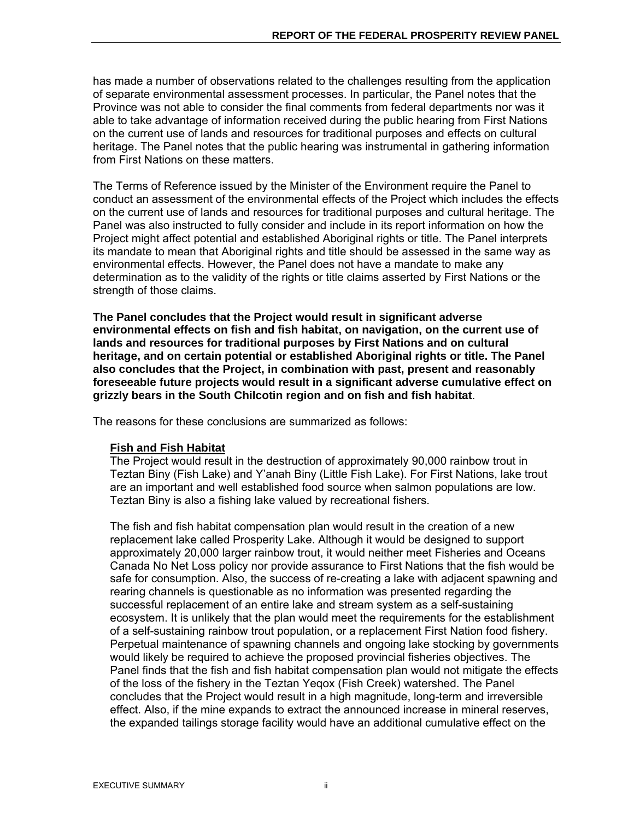has made a number of observations related to the challenges resulting from the application of separate environmental assessment processes. In particular, the Panel notes that the Province was not able to consider the final comments from federal departments nor was it able to take advantage of information received during the public hearing from First Nations on the current use of lands and resources for traditional purposes and effects on cultural heritage. The Panel notes that the public hearing was instrumental in gathering information from First Nations on these matters.

The Terms of Reference issued by the Minister of the Environment require the Panel to conduct an assessment of the environmental effects of the Project which includes the effects on the current use of lands and resources for traditional purposes and cultural heritage. The Panel was also instructed to fully consider and include in its report information on how the Project might affect potential and established Aboriginal rights or title. The Panel interprets its mandate to mean that Aboriginal rights and title should be assessed in the same way as environmental effects. However, the Panel does not have a mandate to make any determination as to the validity of the rights or title claims asserted by First Nations or the strength of those claims.

**The Panel concludes that the Project would result in significant adverse environmental effects on fish and fish habitat, on navigation, on the current use of lands and resources for traditional purposes by First Nations and on cultural heritage, and on certain potential or established Aboriginal rights or title. The Panel also concludes that the Project, in combination with past, present and reasonably foreseeable future projects would result in a significant adverse cumulative effect on grizzly bears in the South Chilcotin region and on fish and fish habitat**.

The reasons for these conclusions are summarized as follows:

## **Fish and Fish Habitat**

The Project would result in the destruction of approximately 90,000 rainbow trout in Teztan Biny (Fish Lake) and Y'anah Biny (Little Fish Lake). For First Nations, lake trout are an important and well established food source when salmon populations are low. Teztan Biny is also a fishing lake valued by recreational fishers.

The fish and fish habitat compensation plan would result in the creation of a new replacement lake called Prosperity Lake. Although it would be designed to support approximately 20,000 larger rainbow trout, it would neither meet Fisheries and Oceans Canada No Net Loss policy nor provide assurance to First Nations that the fish would be safe for consumption. Also, the success of re-creating a lake with adjacent spawning and rearing channels is questionable as no information was presented regarding the successful replacement of an entire lake and stream system as a self-sustaining ecosystem. It is unlikely that the plan would meet the requirements for the establishment of a self-sustaining rainbow trout population, or a replacement First Nation food fishery. Perpetual maintenance of spawning channels and ongoing lake stocking by governments would likely be required to achieve the proposed provincial fisheries objectives. The Panel finds that the fish and fish habitat compensation plan would not mitigate the effects of the loss of the fishery in the Teztan Yeqox (Fish Creek) watershed. The Panel concludes that the Project would result in a high magnitude, long-term and irreversible effect. Also, if the mine expands to extract the announced increase in mineral reserves, the expanded tailings storage facility would have an additional cumulative effect on the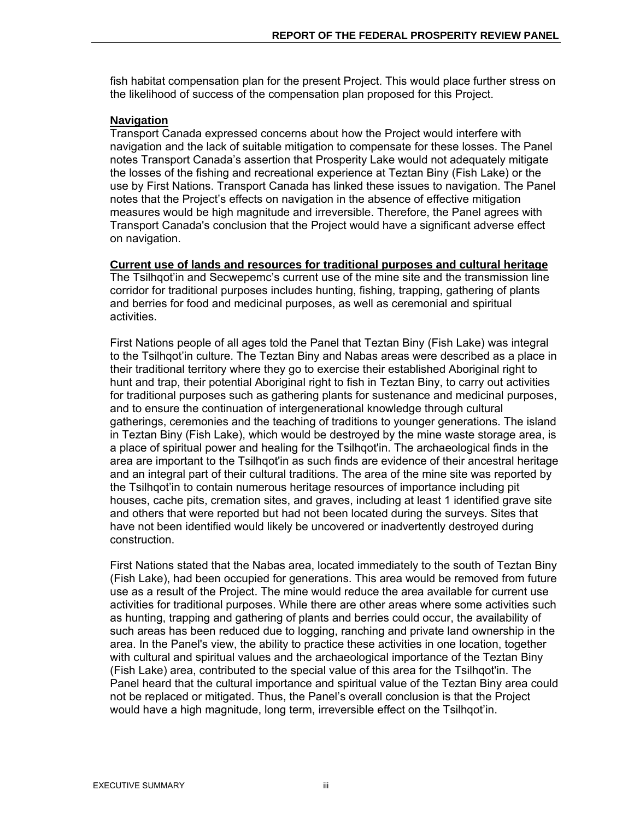fish habitat compensation plan for the present Project. This would place further stress on the likelihood of success of the compensation plan proposed for this Project.

## **Navigation**

Transport Canada expressed concerns about how the Project would interfere with navigation and the lack of suitable mitigation to compensate for these losses. The Panel notes Transport Canada's assertion that Prosperity Lake would not adequately mitigate the losses of the fishing and recreational experience at Teztan Biny (Fish Lake) or the use by First Nations. Transport Canada has linked these issues to navigation. The Panel notes that the Project's effects on navigation in the absence of effective mitigation measures would be high magnitude and irreversible. Therefore, the Panel agrees with Transport Canada's conclusion that the Project would have a significant adverse effect on navigation.

**Current use of lands and resources for traditional purposes and cultural heritage** 

The Tsilhqot'in and Secwepemc's current use of the mine site and the transmission line corridor for traditional purposes includes hunting, fishing, trapping, gathering of plants and berries for food and medicinal purposes, as well as ceremonial and spiritual activities.

First Nations people of all ages told the Panel that Teztan Biny (Fish Lake) was integral to the Tsilhqot'in culture. The Teztan Biny and Nabas areas were described as a place in their traditional territory where they go to exercise their established Aboriginal right to hunt and trap, their potential Aboriginal right to fish in Teztan Biny, to carry out activities for traditional purposes such as gathering plants for sustenance and medicinal purposes, and to ensure the continuation of intergenerational knowledge through cultural gatherings, ceremonies and the teaching of traditions to younger generations. The island in Teztan Biny (Fish Lake), which would be destroyed by the mine waste storage area, is a place of spiritual power and healing for the Tsilhqot'in. The archaeological finds in the area are important to the Tsilhqot'in as such finds are evidence of their ancestral heritage and an integral part of their cultural traditions. The area of the mine site was reported by the Tsilhqot'in to contain numerous heritage resources of importance including pit houses, cache pits, cremation sites, and graves, including at least 1 identified grave site and others that were reported but had not been located during the surveys. Sites that have not been identified would likely be uncovered or inadvertently destroyed during construction.

First Nations stated that the Nabas area, located immediately to the south of Teztan Biny (Fish Lake), had been occupied for generations. This area would be removed from future use as a result of the Project. The mine would reduce the area available for current use activities for traditional purposes. While there are other areas where some activities such as hunting, trapping and gathering of plants and berries could occur, the availability of such areas has been reduced due to logging, ranching and private land ownership in the area. In the Panel's view, the ability to practice these activities in one location, together with cultural and spiritual values and the archaeological importance of the Teztan Biny (Fish Lake) area, contributed to the special value of this area for the Tsilhqot'in. The Panel heard that the cultural importance and spiritual value of the Teztan Biny area could not be replaced or mitigated. Thus, the Panel's overall conclusion is that the Project would have a high magnitude, long term, irreversible effect on the Tsilhqot'in.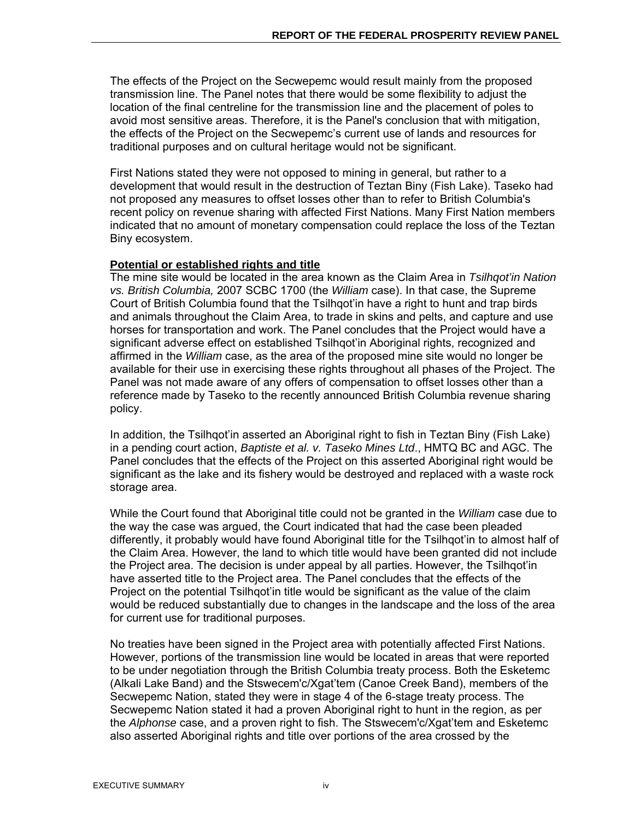The effects of the Project on the Secwepemc would result mainly from the proposed transmission line. The Panel notes that there would be some flexibility to adjust the location of the final centreline for the transmission line and the placement of poles to avoid most sensitive areas. Therefore, it is the Panel's conclusion that with mitigation, the effects of the Project on the Secwepemc's current use of lands and resources for traditional purposes and on cultural heritage would not be significant.

First Nations stated they were not opposed to mining in general, but rather to a development that would result in the destruction of Teztan Biny (Fish Lake). Taseko had not proposed any measures to offset losses other than to refer to British Columbia's recent policy on revenue sharing with affected First Nations. Many First Nation members indicated that no amount of monetary compensation could replace the loss of the Teztan Biny ecosystem.

### **Potential or established rights and title**

The mine site would be located in the area known as the Claim Area in *Tsilhqot'in Nation vs. British Columbia,* 2007 SCBC 1700 (the *William* case). In that case, the Supreme Court of British Columbia found that the Tsilhqot'in have a right to hunt and trap birds and animals throughout the Claim Area, to trade in skins and pelts, and capture and use horses for transportation and work. The Panel concludes that the Project would have a significant adverse effect on established Tsilhqot'in Aboriginal rights, recognized and affirmed in the *William* case, as the area of the proposed mine site would no longer be available for their use in exercising these rights throughout all phases of the Project. The Panel was not made aware of any offers of compensation to offset losses other than a reference made by Taseko to the recently announced British Columbia revenue sharing policy.

In addition, the Tsilhqot'in asserted an Aboriginal right to fish in Teztan Biny (Fish Lake) in a pending court action, *Baptiste et al. v. Taseko Mines Ltd*., HMTQ BC and AGC. The Panel concludes that the effects of the Project on this asserted Aboriginal right would be significant as the lake and its fishery would be destroyed and replaced with a waste rock storage area.

While the Court found that Aboriginal title could not be granted in the *William* case due to the way the case was argued, the Court indicated that had the case been pleaded differently, it probably would have found Aboriginal title for the Tsilhqot'in to almost half of the Claim Area. However, the land to which title would have been granted did not include the Project area. The decision is under appeal by all parties. However, the Tsilhqot'in have asserted title to the Project area. The Panel concludes that the effects of the Project on the potential Tsilhqot'in title would be significant as the value of the claim would be reduced substantially due to changes in the landscape and the loss of the area for current use for traditional purposes.

No treaties have been signed in the Project area with potentially affected First Nations. However, portions of the transmission line would be located in areas that were reported to be under negotiation through the British Columbia treaty process. Both the Esketemc (Alkali Lake Band) and the Stswecem'c/Xgat'tem (Canoe Creek Band), members of the Secwepemc Nation, stated they were in stage 4 of the 6-stage treaty process. The Secwepemc Nation stated it had a proven Aboriginal right to hunt in the region, as per the *Alphonse* case, and a proven right to fish. The Stswecem'c/Xgat'tem and Esketemc also asserted Aboriginal rights and title over portions of the area crossed by the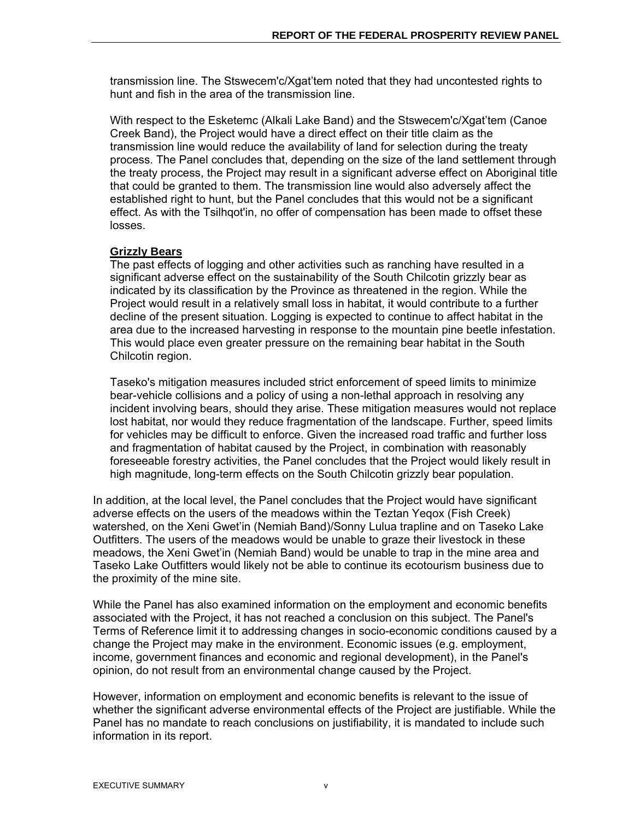transmission line. The Stswecem'c/Xgat'tem noted that they had uncontested rights to hunt and fish in the area of the transmission line.

With respect to the Esketemc (Alkali Lake Band) and the Stswecem'c/Xgat'tem (Canoe Creek Band), the Project would have a direct effect on their title claim as the transmission line would reduce the availability of land for selection during the treaty process. The Panel concludes that, depending on the size of the land settlement through the treaty process, the Project may result in a significant adverse effect on Aboriginal title that could be granted to them. The transmission line would also adversely affect the established right to hunt, but the Panel concludes that this would not be a significant effect. As with the Tsilhqot'in, no offer of compensation has been made to offset these losses.

### **Grizzly Bears**

The past effects of logging and other activities such as ranching have resulted in a significant adverse effect on the sustainability of the South Chilcotin grizzly bear as indicated by its classification by the Province as threatened in the region. While the Project would result in a relatively small loss in habitat, it would contribute to a further decline of the present situation. Logging is expected to continue to affect habitat in the area due to the increased harvesting in response to the mountain pine beetle infestation. This would place even greater pressure on the remaining bear habitat in the South Chilcotin region.

Taseko's mitigation measures included strict enforcement of speed limits to minimize bear-vehicle collisions and a policy of using a non-lethal approach in resolving any incident involving bears, should they arise. These mitigation measures would not replace lost habitat, nor would they reduce fragmentation of the landscape. Further, speed limits for vehicles may be difficult to enforce. Given the increased road traffic and further loss and fragmentation of habitat caused by the Project, in combination with reasonably foreseeable forestry activities, the Panel concludes that the Project would likely result in high magnitude, long-term effects on the South Chilcotin grizzly bear population.

In addition, at the local level, the Panel concludes that the Project would have significant adverse effects on the users of the meadows within the Teztan Yeqox (Fish Creek) watershed, on the Xeni Gwet'in (Nemiah Band)/Sonny Lulua trapline and on Taseko Lake Outfitters. The users of the meadows would be unable to graze their livestock in these meadows, the Xeni Gwet'in (Nemiah Band) would be unable to trap in the mine area and Taseko Lake Outfitters would likely not be able to continue its ecotourism business due to the proximity of the mine site.

While the Panel has also examined information on the employment and economic benefits associated with the Project, it has not reached a conclusion on this subject. The Panel's Terms of Reference limit it to addressing changes in socio-economic conditions caused by a change the Project may make in the environment. Economic issues (e.g. employment, income, government finances and economic and regional development), in the Panel's opinion, do not result from an environmental change caused by the Project.

However, information on employment and economic benefits is relevant to the issue of whether the significant adverse environmental effects of the Project are justifiable. While the Panel has no mandate to reach conclusions on justifiability, it is mandated to include such information in its report.